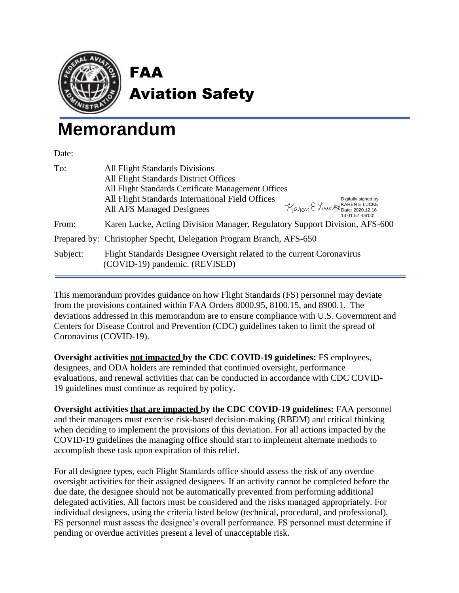

FAA Aviation Safety

# **Memorandum**

Date:

| To:      | <b>All Flight Standards Divisions</b><br>All Flight Standards District Offices                           |                                                                            |
|----------|----------------------------------------------------------------------------------------------------------|----------------------------------------------------------------------------|
|          | All Flight Standards Certificate Management Offices                                                      |                                                                            |
|          | All Flight Standards International Field Offices<br>All AFS Managed Designees                            | Digitally signed by<br>Karen E Lucke Bate: 2020.12.16<br>13:01:52 - 06'00' |
| From:    | Karen Lucke, Acting Division Manager, Regulatory Support Division, AFS-600                               |                                                                            |
|          | Prepared by: Christopher Specht, Delegation Program Branch, AFS-650                                      |                                                                            |
| Subject: | Flight Standards Designee Oversight related to the current Coronavirus<br>(COVID-19) pandemic. (REVISED) |                                                                            |

This memorandum provides guidance on how Flight Standards (FS) personnel may deviate from the provisions contained within FAA Orders 8000.95, 8100.15, and 8900.1. The deviations addressed in this memorandum are to ensure compliance with U.S. Government and Centers for Disease Control and Prevention (CDC) guidelines taken to limit the spread of Coronavirus (COVID-19).

**Oversight activities not impacted by the CDC COVID-19 guidelines:** FS employees, designees, and ODA holders are reminded that continued oversight, performance evaluations, and renewal activities that can be conducted in accordance with CDC COVID-19 guidelines must continue as required by policy.

**Oversight activities that are impacted by the CDC COVID-19 guidelines:** FAA personnel and their managers must exercise risk-based decision-making (RBDM) and critical thinking when deciding to implement the provisions of this deviation. For all actions impacted by the COVID-19 guidelines the managing office should start to implement alternate methods to accomplish these task upon expiration of this relief.

For all designee types, each Flight Standards office should assess the risk of any overdue oversight activities for their assigned designees. If an activity cannot be completed before the due date, the designee should not be automatically prevented from performing additional delegated activities. All factors must be considered and the risks managed appropriately. For individual designees, using the criteria listed below (technical, procedural, and professional), FS personnel must assess the designee's overall performance. FS personnel must determine if pending or overdue activities present a level of unacceptable risk.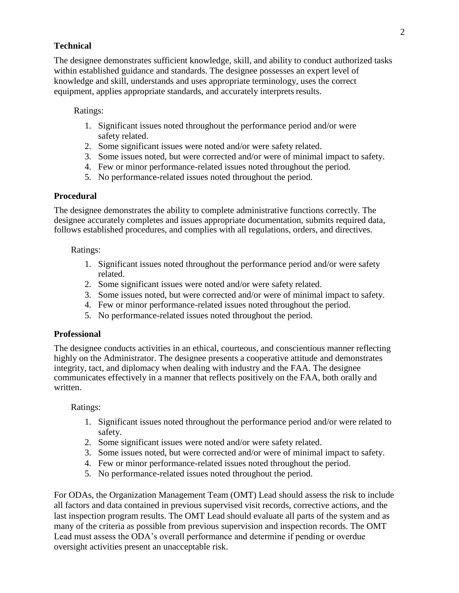## **Technical**

The designee demonstrates sufficient knowledge, skill, and ability to conduct authorized tasks within established guidance and standards. The designee possesses an expert level of knowledge and skill, understands and uses appropriate terminology, uses the correct equipment, applies appropriate standards, and accurately interprets results.

#### Ratings:

- 1. Significant issues noted throughout the performance period and/or were safety related.
- 2. Some significant issues were noted and/or were safety related.
- 3. Some issues noted, but were corrected and/or were of minimal impact to safety.
- 4. Few or minor performance-related issues noted throughout the period.
- 5. No performance-related issues noted throughout the period.

#### **Procedural**

The designee demonstrates the ability to complete administrative functions correctly. The designee accurately completes and issues appropriate documentation, submits required data, follows established procedures, and complies with all regulations, orders, and directives.

#### Ratings:

- 1. Significant issues noted throughout the performance period and/or were safety related.
- 2. Some significant issues were noted and/or were safety related.
- 3. Some issues noted, but were corrected and/or were of minimal impact to safety.
- 4. Few or minor performance-related issues noted throughout the period.
- 5. No performance-related issues noted throughout the period.

## **Professional**

The designee conducts activities in an ethical, courteous, and conscientious manner reflecting highly on the Administrator. The designee presents a cooperative attitude and demonstrates integrity, tact, and diplomacy when dealing with industry and the FAA. The designee communicates effectively in a manner that reflects positively on the FAA, both orally and written.

## Ratings:

- 1. Significant issues noted throughout the performance period and/or were related to safety.
- 2. Some significant issues were noted and/or were safety related.
- 3. Some issues noted, but were corrected and/or were of minimal impact to safety.
- 4. Few or minor performance-related issues noted throughout the period.
- 5. No performance-related issues noted throughout the period.

For ODAs, the Organization Management Team (OMT) Lead should assess the risk to include all factors and data contained in previous supervised visit records, corrective actions, and the last inspection program results. The OMT Lead should evaluate all parts of the system and as many of the criteria as possible from previous supervision and inspection records. The OMT Lead must assess the ODA's overall performance and determine if pending or overdue oversight activities present an unacceptable risk.